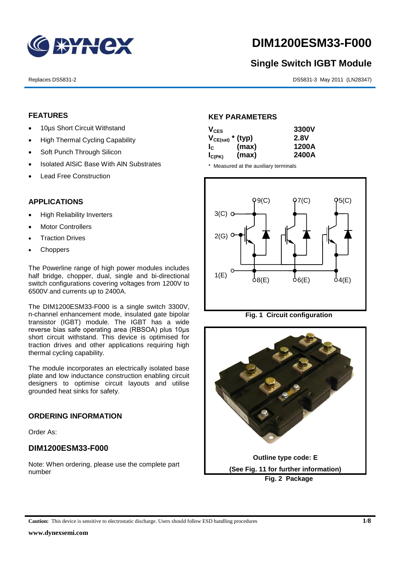

# **DIM1200ESM33-F000**

# **Single Switch IGBT Module**

Replaces DS5831-2 DS5831-3 May 2011 (LN28347)

# **FEATURES**

- 10µs Short Circuit Withstand
- High Thermal Cycling Capability
- Soft Punch Through Silicon
- Isolated AISiC Base With AIN Substrates
- Lead Free Construction

# **APPLICATIONS**

- High Reliability Inverters
- Motor Controllers
- Traction Drives
- **Choppers**

The Powerline range of high power modules includes half bridge, chopper, dual, single and bi-directional switch configurations covering voltages from 1200V to 6500V and currents up to 2400A.

The DIM1200ESM33-F000 is a single switch 3300V, n-channel enhancement mode, insulated gate bipolar transistor (IGBT) module. The IGBT has a wide reverse bias safe operating area (RBSOA) plus 10μs short circuit withstand. This device is optimised for traction drives and other applications requiring high thermal cycling capability.

The module incorporates an electrically isolated base plate and low inductance construction enabling circuit designers to optimise circuit layouts and utilise grounded heat sinks for safety.

# **ORDERING INFORMATION**

Order As:

# **DIM1200ESM33-F000**

Note: When ordering, please use the complete part number

# **KEY PARAMETERS**

| $V_{CES}$             |       | 3300V |
|-----------------------|-------|-------|
| $V_{CE(sat)}$ * (typ) |       | 2.8V  |
| $I_{\rm c}$           | (max) | 1200A |
| $I_{C(PK)}$           | (max) | 2400A |

\* Measured at the auxiliary terminals



**Fig. 1 Circuit configuration**

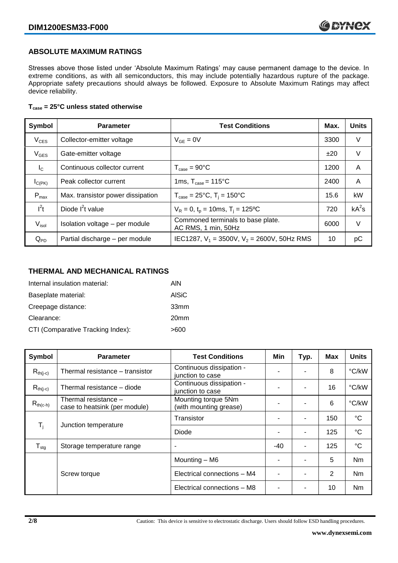# **ABSOLUTE MAXIMUM RATINGS**

Stresses above those listed under 'Absolute Maximum Ratings' may cause permanent damage to the device. In extreme conditions, as with all semiconductors, this may include potentially hazardous rupture of the package. Appropriate safety precautions should always be followed. Exposure to Absolute Maximum Ratings may affect device reliability.

### **Tcase = 25°C unless stated otherwise**

| Symbol            | <b>Parameter</b>                  | <b>Test Conditions</b>                                   | Max. | <b>Units</b> |
|-------------------|-----------------------------------|----------------------------------------------------------|------|--------------|
| $V_{CES}$         | Collector-emitter voltage         | $V_{GF} = 0V$                                            | 3300 | V            |
| $V_{GES}$         | Gate-emitter voltage              |                                                          | ±20  | V            |
| $I_{\rm C}$       | Continuous collector current      | $T_{\text{case}} = 90^{\circ}$ C                         | 1200 | A            |
| $I_{C(PK)}$       | Peak collector current            | 1ms, $T_{\text{case}} = 115^{\circ}$ C                   | 2400 | A            |
| $P_{\text{max}}$  | Max. transistor power dissipation | $T_{\text{case}} = 25^{\circ}C$ , $T_i = 150^{\circ}C$   | 15.6 | kW           |
| $I^2t$            | Diode $I^2t$ value                | $V_R = 0$ , $t_p = 10$ ms, $T_i = 125$ °C                | 720  | $kA^2s$      |
| V <sub>isol</sub> | Isolation voltage - per module    | Commoned terminals to base plate.<br>AC RMS, 1 min, 50Hz | 6000 | V            |
| $Q_{PD}$          | Partial discharge - per module    | IEC1287, $V_1 = 3500V$ , $V_2 = 2600V$ , 50Hz RMS        | 10   | рC           |

# **THERMAL AND MECHANICAL RATINGS**

| Internal insulation material:     | AIN              |
|-----------------------------------|------------------|
| Baseplate material:               | <b>AISiC</b>     |
| Creepage distance:                | 33mm             |
| Clearance:                        | 20 <sub>mm</sub> |
| CTI (Comparative Tracking Index): | >600             |

| Symbol                     | <b>Parameter</b>                                                                                       | <b>Test Conditions</b><br>Min<br>Typ.        |       | Max                      | <b>Units</b> |                |
|----------------------------|--------------------------------------------------------------------------------------------------------|----------------------------------------------|-------|--------------------------|--------------|----------------|
| $R_{th(j-c)}$              | Thermal resistance - transistor                                                                        | Continuous dissipation -<br>junction to case |       |                          | 8            | °C/kW          |
| $R_{th(j-c)}$              | Thermal resistance - diode                                                                             | Continuous dissipation -<br>junction to case |       |                          | 16           | °C/kW          |
| $R_{th(c-h)}$              | Mounting torque 5Nm<br>Thermal resistance -<br>(with mounting grease)<br>case to heatsink (per module) |                                              | -     | ۰                        | 6            | °C/kW          |
|                            | Junction temperature                                                                                   | Transistor                                   |       | ۰                        | 150          | $^{\circ}C$    |
| $T_i$                      |                                                                                                        | Diode                                        |       |                          | 125          | $^{\circ}C$    |
| ${\mathsf T}_{\text{stg}}$ | Storage temperature range                                                                              | $\overline{\phantom{a}}$                     | $-40$ | ٠                        | 125          | $^{\circ}C$    |
|                            |                                                                                                        | Mounting - M6                                |       | $\overline{\phantom{a}}$ | 5            | Nm             |
|                            | Screw torque                                                                                           | Electrical connections - M4                  |       |                          | 2            | N <sub>m</sub> |
|                            |                                                                                                        | Electrical connections - M8                  |       |                          | 10           | Nm             |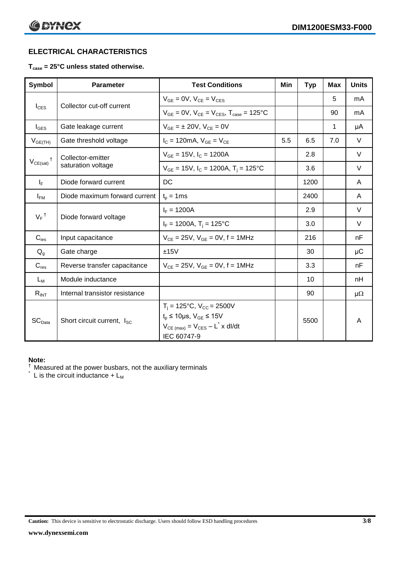# **ELECTRICAL CHARACTERISTICS**

# **Tcase = 25°C unless stated otherwise.**

| Symbol                                      | <b>Parameter</b>                       | <b>Test Conditions</b>                                                                                                                                  |     | <b>Typ</b> | <b>Max</b> | <b>Units</b> |
|---------------------------------------------|----------------------------------------|---------------------------------------------------------------------------------------------------------------------------------------------------------|-----|------------|------------|--------------|
|                                             | Collector cut-off current              | $V_{GF} = 0V$ , $V_{CF} = V_{CFS}$                                                                                                                      |     |            | 5          | mA           |
| $I_{\text{CES}}$                            |                                        | $V_{GF} = 0V$ , $V_{CF} = V_{CES}$ , $T_{case} = 125^{\circ}C$                                                                                          |     |            | 90         | mA           |
| $I_{\text{GES}}$                            | Gate leakage current                   | $V_{GF} = \pm 20V$ , $V_{CF} = 0V$                                                                                                                      |     |            | 1          | μA           |
| $V_{GE(TH)}$                                | Gate threshold voltage                 | $I_{C} = 120 \text{mA}, V_{GE} = V_{CE}$                                                                                                                | 5.5 | 6.5        | 7.0        | $\vee$       |
|                                             | Collector-emitter                      | $V_{GF}$ = 15V, $I_C$ = 1200A                                                                                                                           |     | 2.8        |            | V            |
| $V_{CE(sat)}$                               | saturation voltage                     | $V_{GE}$ = 15V, $I_C$ = 1200A, $T_i$ = 125°C                                                                                                            |     | 3.6        |            | $\vee$       |
| $I_F$                                       | Diode forward current                  | DC                                                                                                                                                      |     | 1200       |            | A            |
| $I_{FM}$                                    | Diode maximum forward current          | $t_p = 1$ ms                                                                                                                                            |     | 2400       |            | A            |
| $V_F$ <sup>†</sup><br>Diode forward voltage |                                        | $I_F = 1200A$                                                                                                                                           |     | 2.9        |            | $\vee$       |
|                                             |                                        | $I_F = 1200A$ , $T_i = 125^{\circ}C$                                                                                                                    |     | 3.0        |            | $\vee$       |
| $C_{\text{ies}}$                            | Input capacitance                      | $V_{CE} = 25V$ , $V_{GE} = 0V$ , f = 1MHz                                                                                                               |     | 216        |            | nF           |
| $Q_g$                                       | Gate charge                            | ±15V                                                                                                                                                    |     | 30         |            | μC           |
| $C_{res}$                                   | Reverse transfer capacitance           | $V_{CE} = 25V$ , $V_{GE} = 0V$ , f = 1MHz                                                                                                               |     | 3.3        |            | nF           |
| $L_M$                                       | Module inductance                      |                                                                                                                                                         |     | 10         |            | nH           |
| $R_{INT}$                                   | Internal transistor resistance         |                                                                                                                                                         |     | 90         |            | $\mu\Omega$  |
| SC <sub>Data</sub>                          | Short circuit current, I <sub>SC</sub> | $T_i = 125$ °C, V <sub>CC</sub> = 2500V<br>$t_p \le 10 \mu s$ , $V_{GE} \le 15 V$<br>$V_{CE \text{ (max)}} = V_{CES} - L^* \times dl/dt$<br>IEC 60747-9 |     | 5500       |            | A            |

### **Note:**

 $\dagger$  Measured at the power busbars, not the auxiliary terminals

 $\check{}$  L is the circuit inductance + L<sub>M</sub>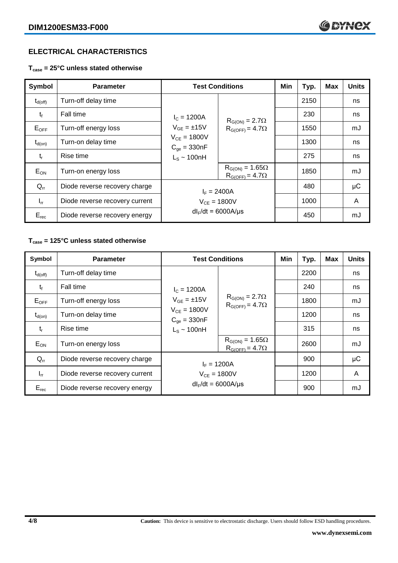# **ELECTRICAL CHARACTERISTICS**

**Tcase = 25°C unless stated otherwise**

| Symbol              | <b>Parameter</b>               | <b>Test Conditions</b>                                                                                 |                                                      | Min | Typ. | <b>Max</b> | <b>Units</b> |
|---------------------|--------------------------------|--------------------------------------------------------------------------------------------------------|------------------------------------------------------|-----|------|------------|--------------|
| $t_{d(\text{off})}$ | Turn-off delay time            |                                                                                                        | $R_{G(ON)} = 2.7\Omega$<br>$R_{G(OFF)} = 4.7\Omega$  |     | 2150 |            | ns           |
| $t_{\rm f}$         | Fall time                      | $I_c = 1200A$<br>$V_{GE} = \pm 15V$<br>$V_{CE} = 1800V$<br>$C_{\text{qe}} = 330nF$<br>$L_S \sim 100nH$ |                                                      |     | 230  |            | ns           |
| $E_{\mathsf{OFF}}$  | Turn-off energy loss           |                                                                                                        |                                                      |     | 1550 |            | mJ           |
| $t_{d(on)}$         | Turn-on delay time             |                                                                                                        |                                                      |     | 1300 |            | ns           |
| $t_{r}$             | Rise time                      |                                                                                                        |                                                      |     | 275  |            | ns           |
| $E_{ON}$            | Turn-on energy loss            |                                                                                                        | $R_{G(ON)} = 1.65\Omega$<br>$R_{G(OFF)} = 4.7\Omega$ |     | 1850 |            | mJ           |
| $Q_{rr}$            | Diode reverse recovery charge  | $I_F = 2400A$<br>$V_{CE} = 1800V$<br>$dl_F/dt = 6000A/\mu s$                                           |                                                      |     | 480  |            | $\mu$ C      |
| $I_{rr}$            | Diode reverse recovery current |                                                                                                        |                                                      |     | 1000 |            | A            |
| $E_{rec}$           | Diode reverse recovery energy  |                                                                                                        |                                                      |     | 450  |            | mJ           |

# **Tcase = 125°C unless stated otherwise**

| Symbol              | <b>Parameter</b>               | <b>Test Conditions</b>                                                                          |                                                                                                             | Min | Typ. | <b>Max</b> | <b>Units</b> |
|---------------------|--------------------------------|-------------------------------------------------------------------------------------------------|-------------------------------------------------------------------------------------------------------------|-----|------|------------|--------------|
| $t_{d(\text{off})}$ | Turn-off delay time            | $I_c = 1200A$<br>$V_{GE} = \pm 15V$<br>$V_{CE} = 1800V$<br>$C_{qe} = 330nF$<br>$L_s \sim 100nH$ | $R_{G(ON)} = 2.7\Omega$<br>$R_{G(OFF)} = 4.7\Omega$<br>$R_{G(ON)} = 1.65\Omega$<br>$R_{G(OFF)} = 4.7\Omega$ |     | 2200 |            | ns           |
| $t_{\rm f}$         | Fall time                      |                                                                                                 |                                                                                                             |     | 240  |            | ns           |
| $E_{OFF}$           | Turn-off energy loss           |                                                                                                 |                                                                                                             |     | 1800 |            | mJ           |
| $t_{d(on)}$         | Turn-on delay time             |                                                                                                 |                                                                                                             |     | 1200 |            | ns           |
| $t_{r}$             | Rise time                      |                                                                                                 |                                                                                                             |     | 315  |            | ns           |
| $E_{ON}$            | Turn-on energy loss            |                                                                                                 |                                                                                                             |     | 2600 |            | mJ           |
| $Q_{rr}$            | Diode reverse recovery charge  | $I_F = 1200A$                                                                                   |                                                                                                             |     | 900  |            | μC           |
| $I_{rr}$            | Diode reverse recovery current | $V_{CF} = 1800V$                                                                                |                                                                                                             |     | 1200 |            | A            |
| $E_{rec}$           | Diode reverse recovery energy  | $dl_F/dt = 6000A/\mu s$                                                                         |                                                                                                             |     | 900  |            | mJ           |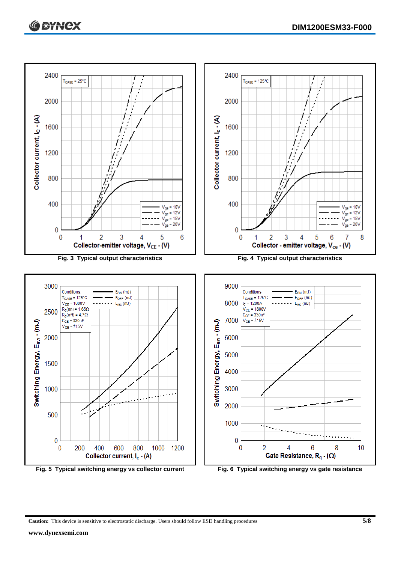

**Caution:** This device is sensitive to electrostatic discharge. Users should follow ESD handling procedures **5/8**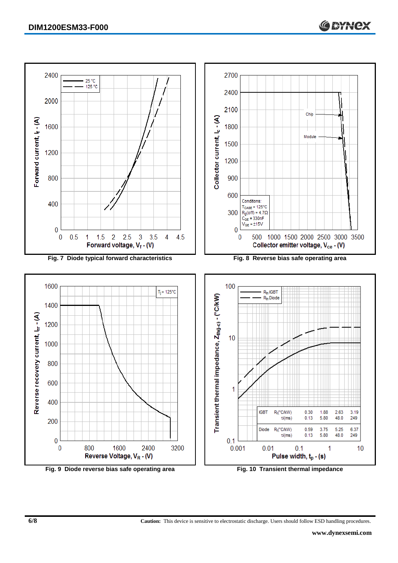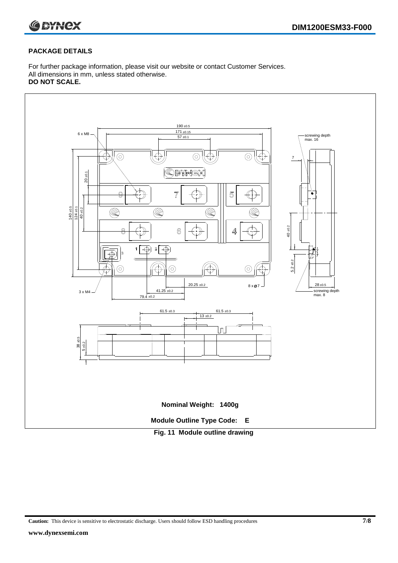

# **PACKAGE DETAILS**

For further package information, please visit our website or contact Customer Services. All dimensions in mm, unless stated otherwise. **DO NOT SCALE.**



**Caution:** This device is sensitive to electrostatic discharge. Users should follow ESD handling procedures **7/8**